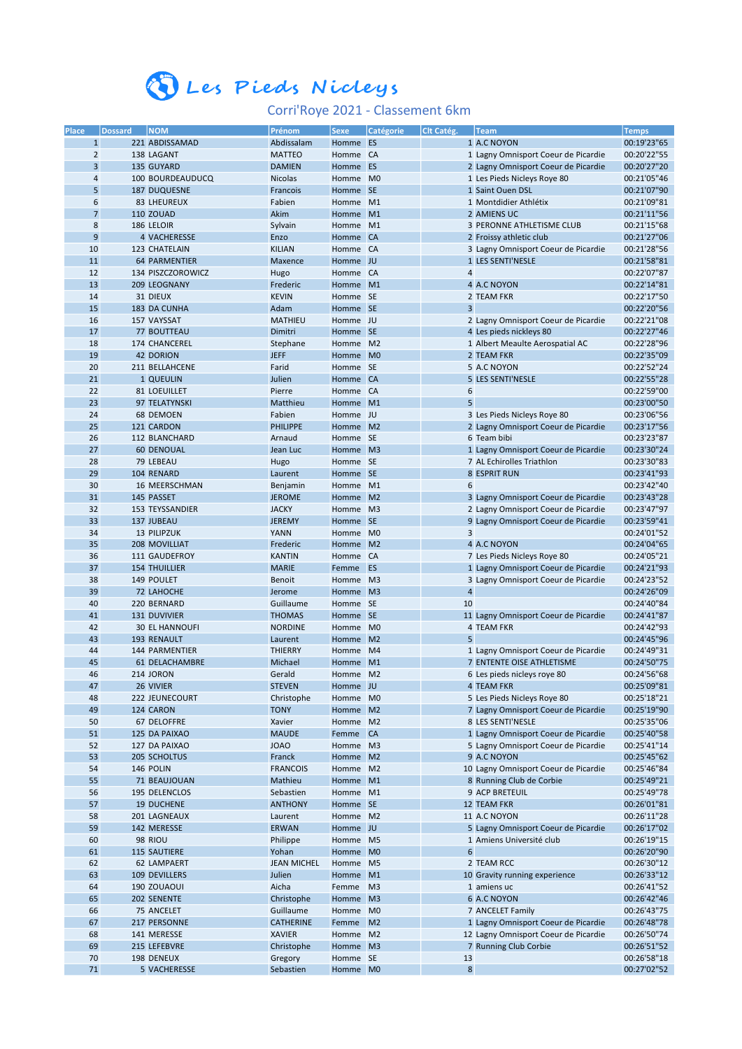## Eles Pieds Nicleys

## Corri'Roye 2021 - Classement 6km

| Place          | <b>Dossard</b> | <b>NOM</b>            | Prénom             | <b>Sexe</b> | Catégorie      | Clt Catég.              | <b>Team</b>                          | <b>Temps</b> |
|----------------|----------------|-----------------------|--------------------|-------------|----------------|-------------------------|--------------------------------------|--------------|
| $\mathbf{1}$   |                | 221 ABDISSAMAD        | Abdissalam         | Homme ES    |                |                         | 1 A.C NOYON                          | 00:19'23"65  |
|                |                |                       |                    |             |                |                         |                                      |              |
| $\overline{2}$ |                | 138 LAGANT            | <b>MATTEO</b>      | Homme CA    |                |                         | 1 Lagny Omnisport Coeur de Picardie  | 00:20'22"55  |
| 3              |                | 135 GUYARD            | <b>DAMIEN</b>      | Homme ES    |                |                         | 2 Lagny Omnisport Coeur de Picardie  | 00:20'27"20  |
| 4              |                | 100 BOURDEAUDUCQ      | <b>Nicolas</b>     | Homme       | M <sub>0</sub> |                         | 1 Les Pieds Nicleys Roye 80          | 00:21'05"46  |
| 5              |                | <b>187 DUQUESNE</b>   | Francois           | Homme SE    |                |                         | 1 Saint Ouen DSL                     | 00:21'07"90  |
| 6              |                | 83 LHEUREUX           | Fabien             | Homme       | M1             |                         | 1 Montdidier Athlétix                | 00:21'09"81  |
|                |                |                       |                    |             |                |                         |                                      |              |
| $\overline{7}$ |                | <b>110 ZOUAD</b>      | Akim               | Homme M1    |                |                         | 2 AMIENS UC                          | 00:21'11"56  |
| 8              |                | 186 LELOIR            | Sylvain            | Homme M1    |                |                         | 3 PERONNE ATHLETISME CLUB            | 00:21'15"68  |
| 9              |                | 4 VACHERESSE          | Enzo               | Homme CA    |                |                         | 2 Froissy athletic club              | 00:21'27"06  |
| 10             |                | 123 CHATELAIN         | <b>KILIAN</b>      | Homme CA    |                |                         | 3 Lagny Omnisport Coeur de Picardie  | 00:21'28"56  |
|                |                |                       |                    |             |                |                         |                                      |              |
| 11             |                | <b>64 PARMENTIER</b>  | Maxence            | Homme JU    |                |                         | 1 LES SENTI'NESLE                    | 00:21'58"81  |
| 12             |                | 134 PISZCZOROWICZ     | Hugo               | Homme CA    |                | $\overline{4}$          |                                      | 00:22'07"87  |
| 13             |                | 209 LEOGNANY          | Frederic           | Homme M1    |                |                         | 4 A.C NOYON                          | 00:22'14"81  |
| 14             |                | 31 DIEUX              | <b>KEVIN</b>       | Homme SE    |                |                         | 2 TEAM FKR                           | 00:22'17"50  |
| 15             |                | 183 DA CUNHA          | Adam               | Homme SE    |                | 3                       |                                      | 00:22'20"56  |
|                |                |                       |                    |             |                |                         |                                      |              |
| 16             |                | 157 VAYSSAT           | <b>MATHIEU</b>     | Homme JU    |                |                         | 2 Lagny Omnisport Coeur de Picardie  | 00:22'21"08  |
| 17             |                | 77 BOUTTEAU           | Dimitri            | Homme SE    |                |                         | 4 Les pieds nickleys 80              | 00:22'27"46  |
| 18             |                | 174 CHANCEREL         | Stephane           | Homme M2    |                |                         | 1 Albert Meaulte Aerospatial AC      | 00:22'28"96  |
| 19             |                | <b>42 DORION</b>      | <b>JEFF</b>        | Homme M0    |                |                         | 2 TEAM FKR                           | 00:22'35"09  |
|                |                |                       |                    |             |                |                         |                                      |              |
| 20             |                | 211 BELLAHCENE        | Farid              | Homme SE    |                |                         | 5 A.C NOYON                          | 00:22'52"24  |
| 21             |                | 1 QUEULIN             | Julien             | Homme CA    |                |                         | 5 LES SENTI'NESLE                    | 00:22'55"28  |
| 22             |                | 81 LOEUILLET          | Pierre             | Homme CA    |                | 6                       |                                      | 00:22'59"00  |
| 23             |                | 97 TELATYNSKI         | Matthieu           | Homme M1    |                | 5                       |                                      | 00:23'00"50  |
| 24             |                | 68 DEMOEN             | Fabien             | Homme JU    |                |                         | 3 Les Pieds Nicleys Roye 80          |              |
|                |                |                       |                    |             |                |                         |                                      | 00:23'06"56  |
| 25             |                | 121 CARDON            | <b>PHILIPPE</b>    | Homme M2    |                |                         | 2 Lagny Omnisport Coeur de Picardie  | 00:23'17"56  |
| 26             |                | 112 BLANCHARD         | Arnaud             | Homme SE    |                |                         | 6 Team bibi                          | 00:23'23"87  |
| 27             |                | <b>60 DENOUAL</b>     | Jean Luc           | Homme M3    |                |                         | 1 Lagny Omnisport Coeur de Picardie  | 00:23'30"24  |
| 28             |                | 79 LEBEAU             | Hugo               | Homme SE    |                |                         | 7 AL Echirolles Triathlon            | 00:23'30"83  |
|                |                |                       |                    |             |                |                         |                                      |              |
| 29             |                | 104 RENARD            | Laurent            | Homme SE    |                |                         | 8 ESPRIT RUN                         | 00:23'41"93  |
| 30             |                | 16 MEERSCHMAN         | Benjamin           | Homme       | M1             | 6                       |                                      | 00:23'42"40  |
| 31             |                | 145 PASSET            | <b>JEROME</b>      | Homme M2    |                |                         | 3 Lagny Omnisport Coeur de Picardie  | 00:23'43"28  |
| 32             |                | 153 TEYSSANDIER       | <b>JACKY</b>       | Homme M3    |                |                         | 2 Lagny Omnisport Coeur de Picardie  | 00:23'47"97  |
|                |                |                       |                    |             |                |                         |                                      |              |
| 33             |                | 137 JUBEAU            | <b>JEREMY</b>      | Homme SE    |                |                         | 9 Lagny Omnisport Coeur de Picardie  | 00:23'59"41  |
| 34             |                | 13 PILIPZUK           | <b>YANN</b>        | Homme M0    |                | 3                       |                                      | 00:24'01"52  |
| 35             |                | <b>208 MOVILLIAT</b>  | Frederic           | Homme       | M <sub>2</sub> |                         | 4 A.C NOYON                          | 00:24'04"65  |
| 36             |                | 111 GAUDEFROY         | <b>KANTIN</b>      | Homme       | <b>CA</b>      |                         | 7 Les Pieds Nicleys Roye 80          | 00:24'05"21  |
| 37             |                | <b>154 THUILLIER</b>  | <b>MARIE</b>       | Femme       | <b>ES</b>      |                         | 1 Lagny Omnisport Coeur de Picardie  | 00:24'21"93  |
|                |                |                       |                    |             |                |                         |                                      |              |
| 38             |                | 149 POULET            | <b>Benoit</b>      | Homme       | M <sub>3</sub> |                         | 3 Lagny Omnisport Coeur de Picardie  | 00:24'23"52  |
| 39             |                | 72 LAHOCHE            | Jerome             | Homme M3    |                | $\overline{\mathbf{4}}$ |                                      | 00:24'26"09  |
| 40             |                | 220 BERNARD           | Guillaume          | Homme SE    |                | 10                      |                                      | 00:24'40"84  |
| 41             |                | 131 DUVIVIER          | <b>THOMAS</b>      | Homme SE    |                |                         | 11 Lagny Omnisport Coeur de Picardie | 00:24'41"87  |
| 42             |                | <b>30 EL HANNOUFI</b> | <b>NORDINE</b>     | Homme       | M <sub>0</sub> |                         | <b>4 TEAM FKR</b>                    | 00:24'42"93  |
|                |                |                       |                    |             |                |                         |                                      |              |
| 43             |                | <b>193 RENAULT</b>    | Laurent            | Homme       | M <sub>2</sub> | 5                       |                                      | 00:24'45"96  |
| 44             |                | 144 PARMENTIER        | <b>THIERRY</b>     | Homme       | M <sub>4</sub> |                         | 1 Lagny Omnisport Coeur de Picardie  | 00:24'49"31  |
| 45             |                | 61 DELACHAMBRE        | Michael            | Homme       | M1             |                         | 7 ENTENTE OISE ATHLETISME            | 00:24'50"75  |
| 46             |                | 214 JORON             | Gerald             | Homme M2    |                |                         | 6 Les pieds nicleys roye 80          | 00:24'56"68  |
|                |                |                       |                    |             |                |                         |                                      |              |
| 47             |                | 26 VIVIER             | <b>STEVEN</b>      | Homme JU    |                |                         | 4 TEAM FKR                           | 00:25'09"81  |
| 48             |                | 222 JEUNECOURT        | Christophe         | Homme M0    |                |                         | 5 Les Pieds Nicleys Roye 80          | 00:25'18"21  |
| 49             |                | 124 CARON             | <b>TONY</b>        | Homme M2    |                |                         | 7 Lagny Omnisport Coeur de Picardie  | 00:25'19"90  |
| 50             |                | 67 DELOFFRE           | Xavier             | Homme M2    |                |                         | 8 LES SENTI'NESLE                    | 00:25'35"06  |
| 51             |                | 125 DA PAIXAO         | <b>MAUDE</b>       | Femme CA    |                |                         | 1 Lagny Omnisport Coeur de Picardie  | 00:25'40"58  |
|                |                |                       |                    |             |                |                         |                                      |              |
| 52             |                | 127 DA PAIXAO         | <b>JOAO</b>        | Homme M3    |                |                         | 5 Lagny Omnisport Coeur de Picardie  | 00:25'41"14  |
| 53             |                | 205 SCHOLTUS          | Franck             | Homme M2    |                |                         | 9 A.C NOYON                          | 00:25'45"62  |
| 54             |                | 146 POLIN             | <b>FRANCOIS</b>    | Homme M2    |                |                         | 10 Lagny Omnisport Coeur de Picardie | 00:25'46"84  |
| 55             |                | 71 BEAUJOUAN          | Mathieu            | Homme M1    |                |                         | 8 Running Club de Corbie             | 00:25'49"21  |
| 56             |                | 195 DELENCLOS         | Sebastien          | Homme M1    |                |                         | <b>9 ACP BRETEUIL</b>                | 00:25'49"78  |
|                |                |                       |                    |             |                |                         |                                      |              |
| 57             |                | <b>19 DUCHENE</b>     | <b>ANTHONY</b>     | Homme SE    |                |                         | 12 TEAM FKR                          | 00:26'01"81  |
| 58             |                | 201 LAGNEAUX          | Laurent            | Homme M2    |                |                         | 11 A.C NOYON                         | 00:26'11"28  |
| 59             |                | 142 MERESSE           | <b>ERWAN</b>       | Homme JU    |                |                         | 5 Lagny Omnisport Coeur de Picardie  | 00:26'17"02  |
| 60             |                | 98 RIOU               | Philippe           | Homme M5    |                |                         | 1 Amiens Université club             | 00:26'19"15  |
|                |                |                       |                    |             |                |                         |                                      |              |
| 61             |                | <b>115 SAUTIERE</b>   | Yohan              | Homme M0    |                | $\boldsymbol{6}$        |                                      | 00:26'20"90  |
| 62             |                | 62 LAMPAERT           | <b>JEAN MICHEL</b> | Homme M5    |                |                         | 2 TEAM RCC                           | 00:26'30"12  |
| 63             |                | 109 DEVILLERS         | Julien             | Homme M1    |                |                         | 10 Gravity running experience        | 00:26'33"12  |
| 64             |                | 190 ZOUAOUI           | Aicha              | Femme M3    |                |                         | 1 amiens uc                          | 00:26'41"52  |
| 65             |                | 202 SENENTE           | Christophe         | Homme M3    |                |                         | <b>6 A.C NOYON</b>                   | 00:26'42"46  |
|                |                |                       |                    |             |                |                         |                                      |              |
| 66             |                | 75 ANCELET            | Guillaume          | Homme       | M <sub>0</sub> |                         | 7 ANCELET Family                     | 00:26'43"75  |
| 67             |                | 217 PERSONNE          | <b>CATHERINE</b>   | Femme       | M <sub>2</sub> |                         | 1 Lagny Omnisport Coeur de Picardie  | 00:26'48"78  |
| 68             |                | 141 MERESSE           | <b>XAVIER</b>      | Homme M2    |                |                         | 12 Lagny Omnisport Coeur de Picardie | 00:26'50"74  |
| 69             |                | 215 LEFEBVRE          | Christophe         | Homme M3    |                |                         | 7 Running Club Corbie                | 00:26'51"52  |
| 70             |                | 198 DENEUX            | Gregory            | Homme SE    |                | 13                      |                                      | 00:26'58"18  |
|                |                |                       |                    |             |                |                         |                                      |              |
| 71             |                | 5 VACHERESSE          | Sebastien          | Homme M0    |                | $\bf 8$                 |                                      | 00:27'02"52  |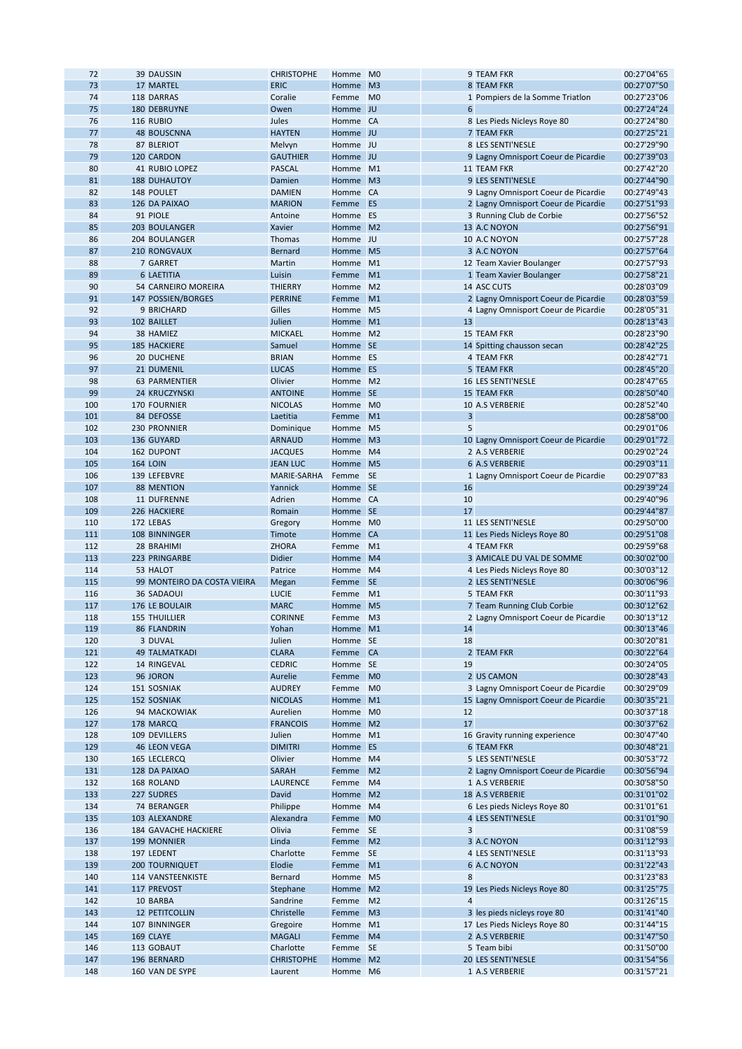| 72  | 39 DAUSSIN                  | <b>CHRISTOPHE</b> | Homme M0 |                |                | 9 TEAM FKR                           | 00:27'04"65 |
|-----|-----------------------------|-------------------|----------|----------------|----------------|--------------------------------------|-------------|
| 73  | 17 MARTEL                   | <b>ERIC</b>       | Homme M3 |                |                | <b>8 TEAM FKR</b>                    | 00:27'07"50 |
| 74  | 118 DARRAS                  | Coralie           | Femme    | M <sub>0</sub> |                | 1 Pompiers de la Somme Triatlon      | 00:27'23"06 |
| 75  | 180 DEBRUYNE                | Owen              | Homme JU |                | 6              |                                      | 00:27'24"24 |
| 76  | 116 RUBIO                   | Jules             | Homme CA |                |                | 8 Les Pieds Nicleys Roye 80          | 00:27'24"80 |
| 77  | <b>48 BOUSCNNA</b>          | <b>HAYTEN</b>     | Homme JU |                |                | <b>7 TEAM FKR</b>                    | 00:27'25"21 |
| 78  | 87 BLERIOT                  | Melvyn            | Homme JU |                |                | 8 LES SENTI'NESLE                    | 00:27'29"90 |
| 79  | 120 CARDON                  | <b>GAUTHIER</b>   | Homme JU |                |                | 9 Lagny Omnisport Coeur de Picardie  | 00:27'39"03 |
|     |                             |                   |          |                |                |                                      |             |
| 80  | <b>41 RUBIO LOPEZ</b>       | <b>PASCAL</b>     | Homme M1 |                |                | 11 TEAM FKR                          | 00:27'42"20 |
| 81  | <b>188 DUHAUTOY</b>         | Damien            | Homme M3 |                |                | 9 LES SENTI'NESLE                    | 00:27'44"90 |
| 82  | 148 POULET                  | <b>DAMIEN</b>     | Homme CA |                |                | 9 Lagny Omnisport Coeur de Picardie  | 00:27'49"43 |
| 83  | 126 DA PAIXAO               | <b>MARION</b>     | Femme    | ES             |                | 2 Lagny Omnisport Coeur de Picardie  | 00:27'51"93 |
| 84  | 91 PIOLE                    | Antoine           | Homme ES |                |                | 3 Running Club de Corbie             | 00:27'56"52 |
| 85  | 203 BOULANGER               | Xavier            | Homme M2 |                |                | 13 A.C NOYON                         | 00:27'56"91 |
| 86  | 204 BOULANGER               | Thomas            | Homme JU |                |                | 10 A.C NOYON                         | 00:27'57"28 |
|     |                             |                   |          |                |                |                                      |             |
| 87  | 210 RONGVAUX                | <b>Bernard</b>    | Homme M5 |                |                | 3 A.C NOYON                          | 00:27'57"64 |
| 88  | 7 GARRET                    | Martin            | Homme M1 |                |                | 12 Team Xavier Boulanger             | 00:27'57"93 |
| 89  | <b>6 LAETITIA</b>           | Luisin            | Femme    | M1             |                | 1 Team Xavier Boulanger              | 00:27'58"21 |
| 90  | 54 CARNEIRO MOREIRA         | <b>THIERRY</b>    | Homme M2 |                |                | 14 ASC CUTS                          | 00:28'03"09 |
| 91  | 147 POSSIEN/BORGES          | <b>PERRINE</b>    | Femme    | M1             |                | 2 Lagny Omnisport Coeur de Picardie  | 00:28'03"59 |
| 92  | 9 BRICHARD                  | Gilles            | Homme M5 |                |                | 4 Lagny Omnisport Coeur de Picardie  | 00:28'05"31 |
| 93  | 102 BAILLET                 | Julien            | Homme M1 |                | 13             |                                      | 00:28'13"43 |
| 94  | 38 HAMIEZ                   | <b>MICKAEL</b>    | Homme M2 |                |                | 15 TEAM FKR                          | 00:28'23"90 |
|     |                             |                   |          |                |                |                                      |             |
| 95  | <b>185 HACKIERE</b>         | Samuel            | Homme SE |                |                | 14 Spitting chausson secan           | 00:28'42"25 |
| 96  | 20 DUCHENE                  | <b>BRIAN</b>      | Homme ES |                |                | <b>4 TEAM FKR</b>                    | 00:28'42"71 |
| 97  | 21 DUMENIL                  | <b>LUCAS</b>      | Homme ES |                |                | <b>5 TEAM FKR</b>                    | 00:28'45"20 |
| 98  | <b>63 PARMENTIER</b>        | Olivier           | Homme M2 |                |                | 16 LES SENTI'NESLE                   | 00:28'47"65 |
| 99  | 24 KRUCZYNSKI               | <b>ANTOINE</b>    | Homme SE |                |                | 15 TEAM FKR                          | 00:28'50"40 |
| 100 | <b>170 FOURNIER</b>         | <b>NICOLAS</b>    | Homme M0 |                |                | 10 A.S VERBERIE                      | 00:28'52"40 |
| 101 | 84 DEFOSSE                  | Laetitia          | Femme    | M1             | 3              |                                      | 00:28'58"00 |
|     |                             |                   |          |                |                |                                      |             |
| 102 | 230 PRONNIER                | Dominique         | Homme M5 |                | 5              |                                      | 00:29'01"06 |
| 103 | 136 GUYARD                  | <b>ARNAUD</b>     | Homme M3 |                |                | 10 Lagny Omnisport Coeur de Picardie | 00:29'01"72 |
| 104 | 162 DUPONT                  | <b>JACQUES</b>    | Homme M4 |                |                | 2 A.S VERBERIE                       | 00:29'02"24 |
| 105 | <b>164 LOIN</b>             | <b>JEAN LUC</b>   | Homme M5 |                |                | <b>6 A.S VERBERIE</b>                | 00:29'03"11 |
| 106 | 139 LEFEBVRE                | MARIE-SARHA       | Femme SE |                |                | 1 Lagny Omnisport Coeur de Picardie  | 00:29'07"83 |
| 107 | <b>88 MENTION</b>           | Yannick           | Homme SE |                | 16             |                                      | 00:29'39"24 |
| 108 | 11 DUFRENNE                 | Adrien            | Homme CA |                | 10             |                                      | 00:29'40"96 |
| 109 | 226 HACKIERE                |                   | Homme SE |                | 17             |                                      | 00:29'44"87 |
|     |                             | Romain            |          |                |                |                                      |             |
| 110 | 172 LEBAS                   | Gregory           | Homme M0 |                |                | 11 LES SENTI'NESLE                   | 00:29'50"00 |
| 111 | 108 BINNINGER               | Timote            | Homme CA |                |                | 11 Les Pieds Nicleys Roye 80         | 00:29'51"08 |
| 112 | 28 BRAHIMI                  | <b>ZHORA</b>      | Femme    | M1             |                | 4 TEAM FKR                           | 00:29'59"68 |
| 113 | 223 PRINGARBE               | <b>Didier</b>     | Homme M4 |                |                | 3 AMICALE DU VAL DE SOMME            | 00:30'02"00 |
| 114 | 53 HALOT                    | Patrice           | Homme M4 |                |                | 4 Les Pieds Nicleys Roye 80          | 00:30'03"12 |
| 115 | 99 MONTEIRO DA COSTA VIEIRA | Megan             | Femme    | SE             |                | 2 LES SENTI'NESLE                    | 00:30'06"96 |
| 116 | <b>36 SADAOUI</b>           | <b>LUCIE</b>      | Femme    | M1             |                | 5 TEAM FKR                           | 00:30'11"93 |
| 117 | 176 LE BOULAIR              | <b>MARC</b>       | Homme M5 |                |                | 7 Team Running Club Corbie           | 00:30'12"62 |
|     |                             |                   |          |                |                |                                      |             |
| 118 | <b>155 THUILLIER</b>        | <b>CORINNE</b>    | Femme M3 |                |                | 2 Lagny Omnisport Coeur de Picardie  | 00:30'13"12 |
| 119 | <b>86 FLANDRIN</b>          | Yohan             | Homme M1 |                | 14             |                                      | 00:30'13"46 |
| 120 | 3 DUVAL                     | Julien            | Homme SE |                | 18             |                                      | 00:30'20"81 |
| 121 | <b>49 TALMATKADI</b>        | <b>CLARA</b>      | Femme    | <b>CA</b>      |                | 2 TEAM FKR                           | 00:30'22"64 |
| 122 | 14 RINGEVAL                 | <b>CEDRIC</b>     | Homme SE |                | 19             |                                      | 00:30'24"05 |
| 123 | 96 JORON                    | Aurelie           | Femme    | M <sub>0</sub> |                | 2 US CAMON                           | 00:30'28"43 |
| 124 | 151 SOSNIAK                 | <b>AUDREY</b>     | Femme    | M <sub>0</sub> |                | 3 Lagny Omnisport Coeur de Picardie  | 00:30'29"09 |
| 125 | 152 SOSNIAK                 | <b>NICOLAS</b>    | Homme M1 |                |                | 15 Lagny Omnisport Coeur de Picardie | 00:30'35"21 |
|     |                             |                   |          |                |                |                                      |             |
| 126 | 94 MACKOWIAK                | Aurelien          | Homme M0 |                | 12             |                                      | 00:30'37"18 |
| 127 | 178 MARCQ                   | <b>FRANCOIS</b>   | Homme M2 |                | 17             |                                      | 00:30'37"62 |
| 128 | 109 DEVILLERS               | Julien            | Homme M1 |                |                | 16 Gravity running experience        | 00:30'47"40 |
| 129 | <b>46 LEON VEGA</b>         | <b>DIMITRI</b>    | Homme ES |                |                | <b>6 TEAM FKR</b>                    | 00:30'48"21 |
| 130 | 165 LECLERCQ                | Olivier           | Homme M4 |                |                | 5 LES SENTI'NESLE                    | 00:30'53"72 |
| 131 | 128 DA PAIXAO               | <b>SARAH</b>      | Femme    | M <sub>2</sub> |                | 2 Lagny Omnisport Coeur de Picardie  | 00:30'56"94 |
| 132 | 168 ROLAND                  | <b>LAURENCE</b>   | Femme    | M4             |                | 1 A.S VERBERIE                       | 00:30'58"50 |
| 133 | 227 SUDRES                  | David             | Homme M2 |                |                | 18 A.S VERBERIE                      | 00:31'01"02 |
|     |                             |                   |          |                |                |                                      |             |
| 134 | 74 BERANGER                 | Philippe          | Homme M4 |                |                | 6 Les pieds Nicleys Roye 80          | 00:31'01"61 |
| 135 | 103 ALEXANDRE               | Alexandra         | Femme    | M <sub>0</sub> |                | 4 LES SENTI'NESLE                    | 00:31'01"90 |
| 136 | 184 GAVACHE HACKIERE        | Olivia            | Femme    | <b>SE</b>      | 3              |                                      | 00:31'08"59 |
| 137 | 199 MONNIER                 | Linda             | Femme    | M <sub>2</sub> |                | 3 A.C NOYON                          | 00:31'12"93 |
| 138 | 197 LEDENT                  | Charlotte         | Femme    | <b>SE</b>      |                | 4 LES SENTI'NESLE                    | 00:31'13"93 |
| 139 | 200 TOURNIQUET              | Elodie            | Femme    | M1             |                | <b>6 A.C NOYON</b>                   | 00:31'22"43 |
| 140 | 114 VANSTEENKISTE           | Bernard           | Homme M5 |                | 8              |                                      | 00:31'23"83 |
|     |                             |                   |          |                |                |                                      |             |
| 141 | 117 PREVOST                 | Stephane          | Homme M2 |                |                | 19 Les Pieds Nicleys Roye 80         | 00:31'25"75 |
| 142 | 10 BARBA                    | Sandrine          | Femme    | M <sub>2</sub> | $\overline{4}$ |                                      | 00:31'26"15 |
| 143 | <b>12 PETITCOLLIN</b>       | Christelle        | Femme    | M <sub>3</sub> |                | 3 les pieds nicleys roye 80          | 00:31'41"40 |
| 144 | 107 BINNINGER               | Gregoire          | Homme M1 |                |                | 17 Les Pieds Nicleys Roye 80         | 00:31'44"15 |
| 145 | 169 CLAYE                   | <b>MAGALI</b>     | Femme    | M <sub>4</sub> |                | 2 A.S VERBERIE                       | 00:31'47"50 |
| 146 | 113 GOBAUT                  | Charlotte         | Femme    | <b>SE</b>      |                | 5 Team bibi                          | 00:31'50"00 |
| 147 | 196 BERNARD                 | <b>CHRISTOPHE</b> | Homme M2 |                |                | 20 LES SENTI'NESLE                   | 00:31'54"56 |
| 148 | 160 VAN DE SYPE             | Laurent           | Homme M6 |                |                | 1 A.S VERBERIE                       | 00:31'57"21 |
|     |                             |                   |          |                |                |                                      |             |